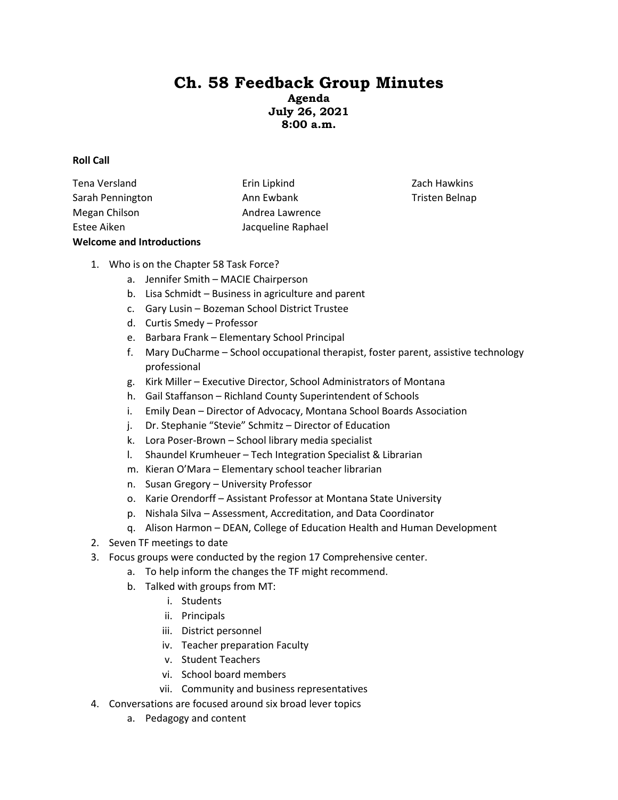# **Ch. 58 Feedback Group Minutes**

**Agenda July 26, 2021 8:00 a.m.**

#### **Roll Call**

Tena Versland Sarah Pennington Megan Chilson Estee Aiken Erin Lipkind Ann Ewbank Andrea Lawrence Jacqueline Raphael **Welcome and Introductions** 

Zach Hawkins Tristen Belnap

- 1. Who is on the Chapter 58 Task Force?
	- a. Jennifer Smith MACIE Chairperson
	- b. Lisa Schmidt Business in agriculture and parent
	- c. Gary Lusin Bozeman School District Trustee
	- d. Curtis Smedy Professor
	- e. Barbara Frank Elementary School Principal
	- f. Mary DuCharme School occupational therapist, foster parent, assistive technology professional
	- g. Kirk Miller Executive Director, School Administrators of Montana
	- h. Gail Staffanson Richland County Superintendent of Schools
	- i. Emily Dean Director of Advocacy, Montana School Boards Association
	- j. Dr. Stephanie "Stevie" Schmitz Director of Education
	- k. Lora Poser-Brown School library media specialist
	- l. Shaundel Krumheuer Tech Integration Specialist & Librarian
	- m. Kieran O'Mara Elementary school teacher librarian
	- n. Susan Gregory University Professor
	- o. Karie Orendorff Assistant Professor at Montana State University
	- p. Nishala Silva Assessment, Accreditation, and Data Coordinator
	- q. Alison Harmon DEAN, College of Education Health and Human Development
- 2. Seven TF meetings to date
- 3. Focus groups were conducted by the region 17 Comprehensive center.
	- a. To help inform the changes the TF might recommend.
	- b. Talked with groups from MT:
		- i. Students
		- ii. Principals
		- iii. District personnel
		- iv. Teacher preparation Faculty
		- v. Student Teachers
		- vi. School board members
		- vii. Community and business representatives
- 4. Conversations are focused around six broad lever topics
	- a. Pedagogy and content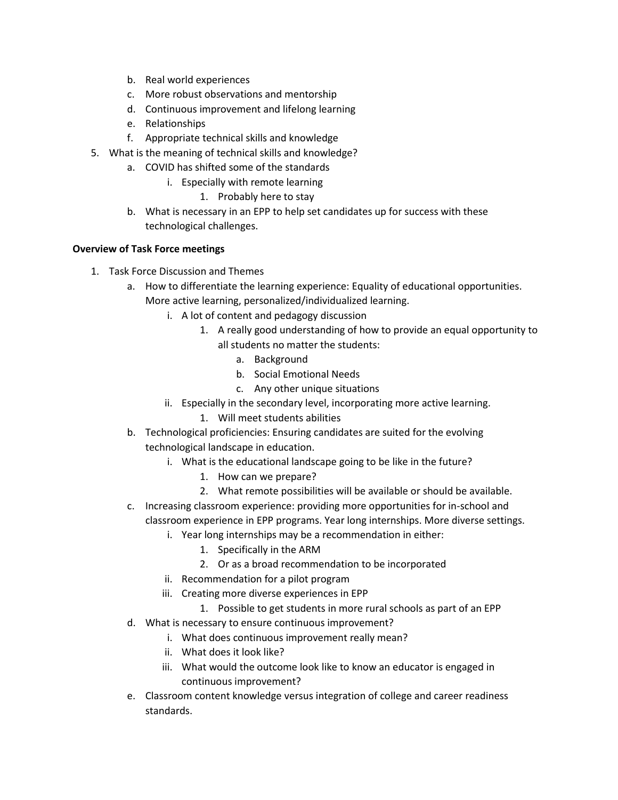- b. Real world experiences
- c. More robust observations and mentorship
- d. Continuous improvement and lifelong learning
- e. Relationships
- f. Appropriate technical skills and knowledge
- 5. What is the meaning of technical skills and knowledge?
	- a. COVID has shifted some of the standards
		- i. Especially with remote learning
			- 1. Probably here to stay
	- b. What is necessary in an EPP to help set candidates up for success with these technological challenges.

### **Overview of Task Force meetings**

- 1. Task Force Discussion and Themes
	- a. How to differentiate the learning experience: Equality of educational opportunities. More active learning, personalized/individualized learning.
		- i. A lot of content and pedagogy discussion
			- 1. A really good understanding of how to provide an equal opportunity to all students no matter the students:
				- a. Background
				- b. Social Emotional Needs
				- c. Any other unique situations
		- ii. Especially in the secondary level, incorporating more active learning.
			- 1. Will meet students abilities
	- b. Technological proficiencies: Ensuring candidates are suited for the evolving technological landscape in education.
		- i. What is the educational landscape going to be like in the future?
			- 1. How can we prepare?
			- 2. What remote possibilities will be available or should be available.
	- c. Increasing classroom experience: providing more opportunities for in-school and classroom experience in EPP programs. Year long internships. More diverse settings.
		- i. Year long internships may be a recommendation in either:
			- 1. Specifically in the ARM
			- 2. Or as a broad recommendation to be incorporated
		- ii. Recommendation for a pilot program
		- iii. Creating more diverse experiences in EPP
	- 1. Possible to get students in more rural schools as part of an EPP d. What is necessary to ensure continuous improvement?
		- i. What does continuous improvement really mean?
			- ii. What does it look like?
			- iii. What would the outcome look like to know an educator is engaged in continuous improvement?
	- e. Classroom content knowledge versus integration of college and career readiness standards.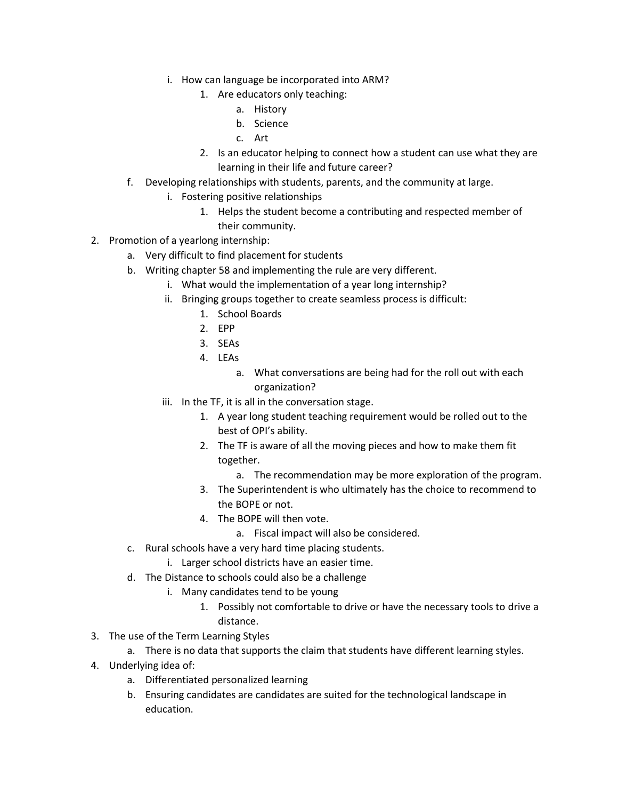- i. How can language be incorporated into ARM?
	- 1. Are educators only teaching:
		- a. History
		- b. Science
		- c. Art
	- 2. Is an educator helping to connect how a student can use what they are learning in their life and future career?
- f. Developing relationships with students, parents, and the community at large.
	- i. Fostering positive relationships
		- 1. Helps the student become a contributing and respected member of their community.
- 2. Promotion of a yearlong internship:
	- a. Very difficult to find placement for students
	- b. Writing chapter 58 and implementing the rule are very different.
		- i. What would the implementation of a year long internship?
		- ii. Bringing groups together to create seamless process is difficult:
			- 1. School Boards
			- 2. EPP
			- 3. SEAs
			- 4. LEAs
				- a. What conversations are being had for the roll out with each organization?
		- iii. In the TF, it is all in the conversation stage.
			- 1. A year long student teaching requirement would be rolled out to the best of OPI's ability.
			- 2. The TF is aware of all the moving pieces and how to make them fit together.
				- a. The recommendation may be more exploration of the program.
			- 3. The Superintendent is who ultimately has the choice to recommend to the BOPE or not.
			- 4. The BOPE will then vote.
				- a. Fiscal impact will also be considered.
	- c. Rural schools have a very hard time placing students.
		- i. Larger school districts have an easier time.
	- d. The Distance to schools could also be a challenge
		- i. Many candidates tend to be young
			- 1. Possibly not comfortable to drive or have the necessary tools to drive a distance.
- 3. The use of the Term Learning Styles
	- a. There is no data that supports the claim that students have different learning styles.
- 4. Underlying idea of:
	- a. Differentiated personalized learning
	- b. Ensuring candidates are candidates are suited for the technological landscape in education.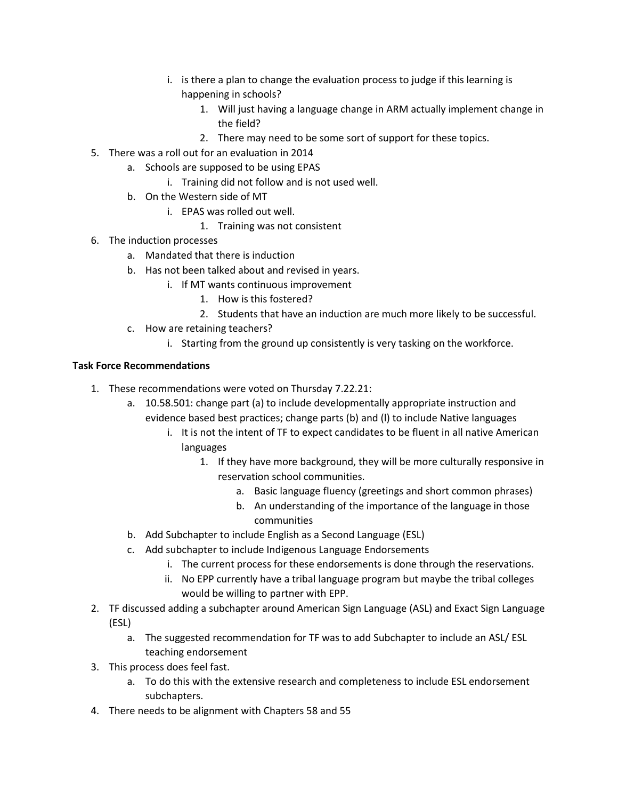- i. is there a plan to change the evaluation process to judge if this learning is happening in schools?
	- 1. Will just having a language change in ARM actually implement change in the field?
	- 2. There may need to be some sort of support for these topics.
- 5. There was a roll out for an evaluation in 2014
	- a. Schools are supposed to be using EPAS
		- i. Training did not follow and is not used well.
	- b. On the Western side of MT
		- i. EPAS was rolled out well.
			- 1. Training was not consistent
- 6. The induction processes
	- a. Mandated that there is induction
	- b. Has not been talked about and revised in years.
		- i. If MT wants continuous improvement
			- 1. How is this fostered?
			- 2. Students that have an induction are much more likely to be successful.
	- c. How are retaining teachers?
		- i. Starting from the ground up consistently is very tasking on the workforce.

### **Task Force Recommendations**

- 1. These recommendations were voted on Thursday 7.22.21:
	- a. 10.58.501: change part (a) to include developmentally appropriate instruction and evidence based best practices; change parts (b) and (l) to include Native languages
		- i. It is not the intent of TF to expect candidates to be fluent in all native American languages
			- 1. If they have more background, they will be more culturally responsive in reservation school communities.
				- a. Basic language fluency (greetings and short common phrases)
				- b. An understanding of the importance of the language in those communities
	- b. Add Subchapter to include English as a Second Language (ESL)
	- c. Add subchapter to include Indigenous Language Endorsements
		- i. The current process for these endorsements is done through the reservations.
		- ii. No EPP currently have a tribal language program but maybe the tribal colleges would be willing to partner with EPP.
- 2. TF discussed adding a subchapter around American Sign Language (ASL) and Exact Sign Language (ESL)
	- a. The suggested recommendation for TF was to add Subchapter to include an ASL/ ESL teaching endorsement
- 3. This process does feel fast.
	- a. To do this with the extensive research and completeness to include ESL endorsement subchapters.
- 4. There needs to be alignment with Chapters 58 and 55